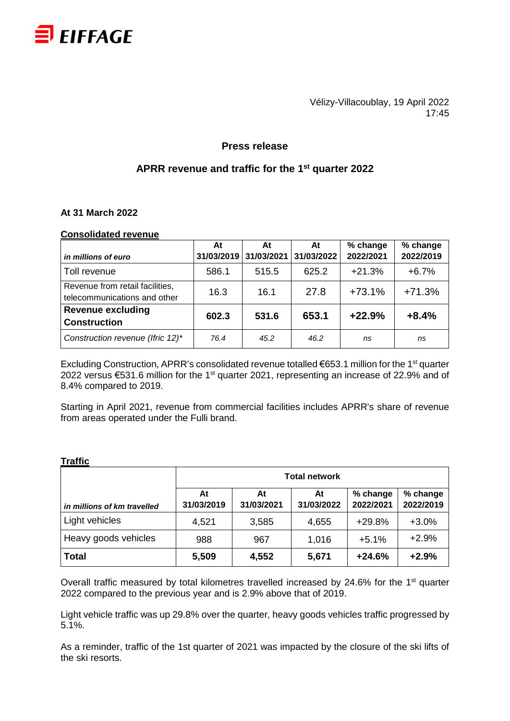

Vélizy-Villacoublay, 19 April 2022 17:45

### **Press release**

## **APRR revenue and traffic for the 1st quarter 2022**

### **At 31 March 2022**

#### **Consolidated revenue**

| in millions of euro              | At<br>31/03/2019 | At<br>31/03/2021 | At<br>31/03/2022 | % change<br>2022/2021 | % change<br>2022/2019 |
|----------------------------------|------------------|------------------|------------------|-----------------------|-----------------------|
|                                  |                  |                  |                  |                       |                       |
| Toll revenue                     | 586.1            | 515.5            | 625.2            | $+21.3%$              | $+6.7%$               |
| Revenue from retail facilities,  | 16.3             | 16.1             | 27.8             | $+73.1%$              | $+71.3%$              |
| telecommunications and other     |                  |                  |                  |                       |                       |
| <b>Revenue excluding</b>         | 602.3            | 531.6            | 653.1            | $+22.9%$              | $+8.4%$               |
| <b>Construction</b>              |                  |                  |                  |                       |                       |
| Construction revenue (Ifric 12)* | 76.4             | 45.2             | 46.2             | ns                    | ns                    |

Excluding Construction, APRR's consolidated revenue totalled  $\epsilon$ 653.1 million for the 1<sup>st</sup> quarter 2022 versus €531.6 million for the 1<sup>st</sup> quarter 2021, representing an increase of 22.9% and of 8.4% compared to 2019.

Starting in April 2021, revenue from commercial facilities includes APRR's share of revenue from areas operated under the Fulli brand.

|                             | <b>Total network</b> |                  |                  |                       |                       |  |  |
|-----------------------------|----------------------|------------------|------------------|-----------------------|-----------------------|--|--|
| in millions of km travelled | At<br>31/03/2019     | At<br>31/03/2021 | At<br>31/03/2022 | % change<br>2022/2021 | % change<br>2022/2019 |  |  |
| Light vehicles              | 4,521                | 3,585            | 4,655            | $+29.8%$              | $+3.0%$               |  |  |
| Heavy goods vehicles        | 988                  | 967              | 1,016            | $+5.1%$               | $+2.9%$               |  |  |
| <b>Total</b>                | 5,509                | 4,552            | 5,671            | $+24.6%$              | $+2.9%$               |  |  |

### **Traffic**

Overall traffic measured by total kilometres travelled increased by 24.6% for the 1<sup>st</sup> quarter 2022 compared to the previous year and is 2.9% above that of 2019.

Light vehicle traffic was up 29.8% over the quarter, heavy goods vehicles traffic progressed by 5.1%.

As a reminder, traffic of the 1st quarter of 2021 was impacted by the closure of the ski lifts of the ski resorts.